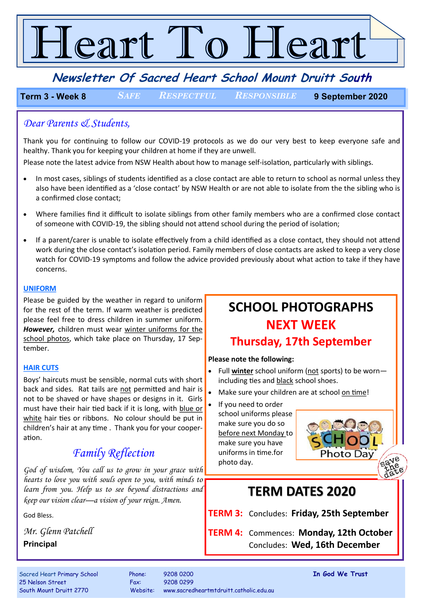# Teart To Heart

**Newsletter Of Sacred Heart School Mount Druitt South**

**Term 3 - Week 8** *SAFE RESPECTFUL RESPONSIBLE* **9 September 2020**

## *Dear Parents & Students,*

Thank you for continuing to follow our COVID-19 protocols as we do our very best to keep everyone safe and healthy. Thank you for keeping your children at home if they are unwell.

Please note the latest advice from NSW Health about how to manage self-isolation, particularly with siblings.

- In most cases, siblings of students identified as a close contact are able to return to school as normal unless they also have been identified as a 'close contact' by NSW Health or are not able to isolate from the the sibling who is a confirmed close contact;
- Where families find it difficult to isolate siblings from other family members who are a confirmed close contact of someone with COVID-19, the sibling should not attend school during the period of isolation;
- If a parent/carer is unable to isolate effectively from a child identified as a close contact, they should not attend work during the close contact's isolation period. Family members of close contacts are asked to keep a very close watch for COVID-19 symptoms and follow the advice provided previously about what action to take if they have concerns.

### **UNIFORM**

Please be guided by the weather in regard to uniform for the rest of the term. If warm weather is predicted please feel free to dress children in summer uniform. *However,* children must wear winter uniforms for the school photos, which take place on Thursday, 17 September.

## **HAIR CUTS**

Boys' haircuts must be sensible, normal cuts with short back and sides. Rat tails are not permitted and hair is  $\int_{\bullet}$ not to be shaved or have shapes or designs in it. Girls must have their hair tied back if it is long, with blue or white hair ties or ribbons. No colour should be put in children's hair at any time . Thank you for your cooperation.

## *Family Reflection*

*God of wisdom, You call us to grow in your grace with hearts to love you with souls open to you, with minds to learn from you. Help us to see beyond distractions and keep our vision clear—a vision of your reign. Amen.*

God Bless.

*Mr. Glenn Patchell* **Principal**

## **SCHOOL PHOTOGRAPHS NEXT WEEK Thursday, 17th September**

## **Please note the following:**

- Full **winter** school uniform (not sports) to be worn including ties and black school shoes.
- Make sure your children are at school on time!
- If you need to order school uniforms please make sure you do so before next Monday to make sure you have uniforms in time.for photo day.

## **TERM DATES 2020**

**TERM 3:** Concludes: **Friday, 25th September** 

**TERM 4:** Commences: **Monday, 12th October** Concludes: **Wed, 16th December**

25 Nelson Street Fax: 9208 0299

Sacred Heart Primary School Phone: 9208 0200 **In God We Trust** South Mount Druitt 2770 Website: www.sacredheartmtdruitt.catholic.edu.au

Photo Day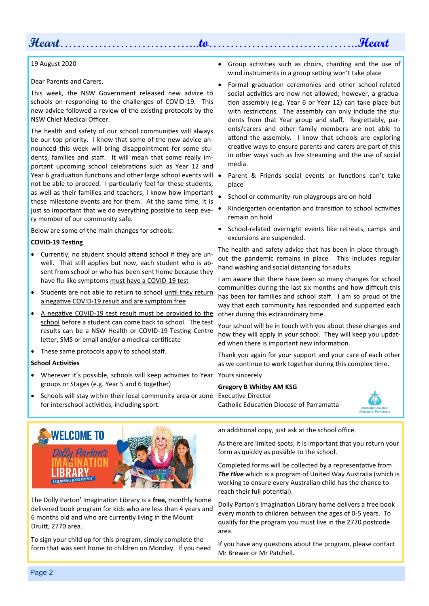## **Heart**…………………………...**to**……………………………..**Heart**

#### 19 August 2020

Dear Parents and Carers,

This week, the NSW Government released new advice to schools on responding to the challenges of COVID-19. This new advice followed a review of the existing protocols by the NSW Chief Medical Officer.

The health and safety of our school communities will always be our top priority. I know that some of the new advice announced this week will bring disappointment for some students, families and staff. It will mean that some really important upcoming school celebrations such as Year 12 and Year 6 graduation functions and other large school events will • not be able to proceed. I particularly feel for these students, as well as their families and teachers; I know how important these milestone events are for them. At the same time, it is just so important that we do everything possible to keep eve-  $\bullet$ ry member of our community safe.

Below are some of the main changes for schools:

#### **COVID-19 Testing**

- Currently, no student should attend school if they are unwell. That still applies but now, each student who is absent from school or who has been sent home because they have flu-like symptoms must have a COVID-19 test
- Students are not able to return to school until they return a negative COVID-19 result and are symptom free
- A negative COVID-19 test result must be provided to the school before a student can come back to school. The test results can be a NSW Health or COVID-19 Testing Centre letter, SMS or email and/or a medical certificate
- These same protocols apply to school staff.

#### **School Activities**

- Wherever it's possible, schools will keep activities to Year Yours sincerely groups or Stages (e.g. Year 5 and 6 together)
- Schools will stay within their local community area or zone Executive Director for interschool activities, including sport.
- Group activities such as choirs, chanting and the use of wind instruments in a group setting won't take place
- Formal graduation ceremonies and other school-related social activities are now not allowed; however, a graduation assembly (e.g. Year 6 or Year 12) can take place but with restrictions. The assembly can only include the students from that Year group and staff. Regrettably, parents/carers and other family members are not able to attend the assembly. I know that schools are exploring creative ways to ensure parents and carers are part of this in other ways such as live streaming and the use of social media.
- Parent & Friends social events or functions can't take place
- School or community-run playgroups are on hold
- Kindergarten orientation and transition to school activities remain on hold
- School-related overnight events like retreats, camps and excursions are suspended.

The health and safety advice that has been in place throughout the pandemic remains in place. This includes regular hand washing and social distancing for adults.

I am aware that there have been so many changes for school communities during the last six months and how difficult this has been for families and school staff. I am so proud of the way that each community has responded and supported each other during this extraordinary time.

Your school will be in touch with you about these changes and how they will apply in your school. They will keep you updated when there is important new information.

Thank you again for your support and your care of each other as we continue to work together during this complex time.

#### **Gregory B Whitby AM KSG**

Catholic Education Diocese of Parramatta





The Dolly Parton' Imagination Library is a **free,** monthly home delivered book program for kids who are less than 4 years and 6 months old and who are currently living in the Mount Druitt, 2770 area.

To sign your child up for this program, simply complete the form that was sent home to children on Monday. If you need an additional copy, just ask at the school office.

As there are limited spots, it is important that you return your form as quickly as possible to the school.

Completed forms will be collected by a representative from *The Hive* which is a program of United Way Australia (which is working to ensure every Australian child has the chance to reach their full potential).

Dolly Parton's Imagination Library home delivers a free book every month to children between the ages of 0-5 years. To qualify for the program you must live in the 2770 postcode area.

If you have any questions about the program, please contact Mr Brewer or Mr Patchell.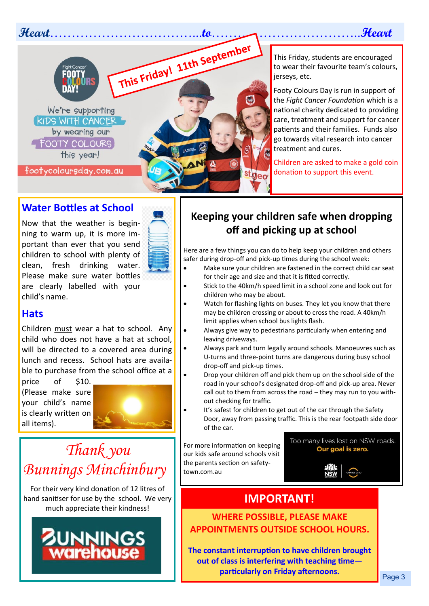**Heart**……………………………...**to**……………………………..**Heart**



This Friday, students are encouraged to wear their favourite team's colours, jerseys, etc.

Footy Colours Day is run in support of the *Fight Cancer Foundation* which is a national charity dedicated to providing care, treatment and support for cancer patients and their families. Funds also go towards vital research into cancer treatment and cures.

Children are asked to make a gold coin donation to support this event.

## **Water Bottles at School**

Now that the weather is beginning to warm up, it is more important than ever that you send children to school with plenty of clean, fresh drinking water. Please make sure water bottles are clearly labelled with your child's name.



## **Hats**

Children must wear a hat to school. Any child who does not have a hat at school, will be directed to a covered area during lunch and recess. School hats are available to purchase from the school office at a

price of \$10. (Please make sure your child's name is clearly written on all items).



# *Thank you Bunnings Minchinbury*

For their very kind donation of 12 litres of hand sanitiser for use by the school. We very much appreciate their kindness!

# **JNNINGS**

## **Keeping your children safe when dropping off and picking up at school**

Here are a few things you can do to help keep your children and others safer during drop-off and pick-up times during the school week:

- Make sure your children are fastened in the correct child car seat for their age and size and that it is fitted correctly.
- Stick to the 40km/h speed limit in a school zone and look out for children who may be about.
- Watch for flashing lights on buses. They let you know that there may be children crossing or about to cross the road. A 40km/h limit applies when school bus lights flash.
	- Always give way to pedestrians particularly when entering and leaving driveways.
	- Always park and turn legally around schools. Manoeuvres such as U-turns and three-point turns are dangerous during busy school drop-off and pick-up times.
- Drop your children off and pick them up on the school side of the road in your school's designated drop-off and pick-up area. Never call out to them from across the road – they may run to you without checking for traffic.
- It's safest for children to get out of the car through the Safety Door, away from passing traffic. This is the rear footpath side door of the car.

For more information on keeping our kids safe around schools visit the parents section on safetytown.com.au

Too many lives lost on NSW roads. Our goal is zero.

## **IMPORTANT!**

**WHERE POSSIBLE, PLEASE MAKE APPOINTMENTS OUTSIDE SCHOOL HOURS.** 

**The constant interruption to have children brought out of class is interfering with teaching time particularly on Friday afternoons.**